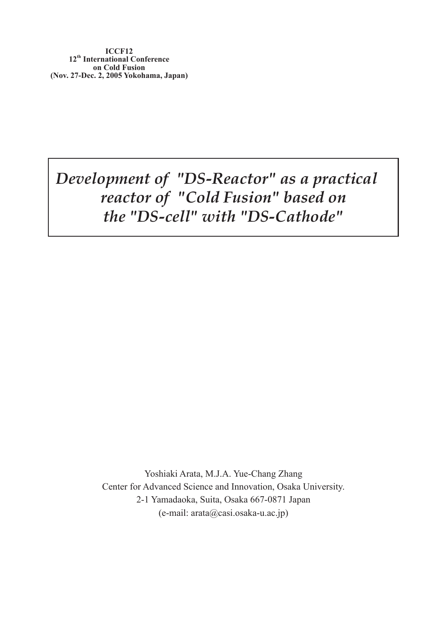*Development of "DS-Reactor" as a practical reactor of "Cold Fusion" based on the "DS-cell" with "DS-Cathode"*

> Yoshiaki Arata, M.J.A. Yue-Chang Zhang Center for Advanced Science and Innovation, Osaka University. 2-1 Yamadaoka, Suita, Osaka 667-0871 Japan (e-mail: arata@casi.osaka-u.ac.jp)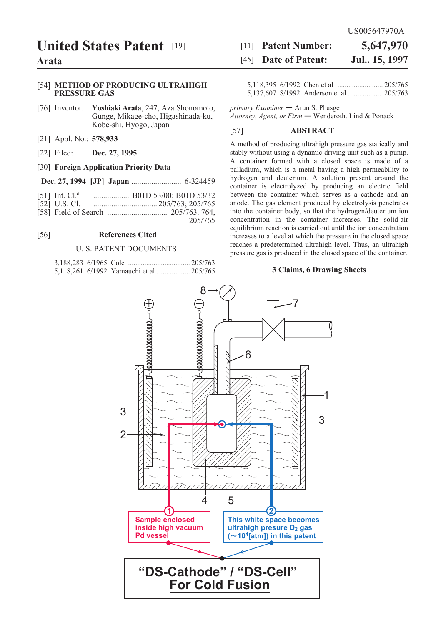### **United States Patent [19]**

#### Arata

#### [54] METHOD OF PRODUCING ULTRAHIGH **PRESSURE GAS**

- [76] Inventor: Yoshiaki Arata, 247, Aza Shonomoto, Gunge, Mikage-cho, Higashinada-ku, Kobe-shi, Hyogo, Japan
- [21] Appl. No.: 578,933
- [22] Filed: Dec. 27, 1995

#### [30] Foreign Application Priority Data

- [51] Int. Cl.<sup>6</sup> .................... B01D 53/00; B01D 53/32
- [52] U.S. Cl.
- 205/765

#### $[56]$ **References Cited**

#### **U. S. PATENT DOCUMENTS**

|  | 5,118,261 6/1992 Yamauchi et al  205/765 |  |
|--|------------------------------------------|--|

#### [11] Patent Number: 5,647,970 [45] **Date of Patent:** Jul., 15, 1997

primary Examiner - Arun S. Phasge Attorney, Agent, or Firm - Wenderoth. Lind & Ponack

#### $[57]$ **ABSTRACT**

A method of producing ultrahigh pressure gas statically and stably without using a dynamic driving unit such as a pump. A container formed with a closed space is made of a palladium, which is a metal having a high permeability to hydrogen and deuterium. A solution present around the container is electrolyzed by producing an electric field between the container which serves as a cathode and an anode. The gas element produced by electrolysis penetrates into the container body, so that the hydrogen/deuterium ion concentration in the container increases. The solid-air equilibrium reaction is carried out until the ion concentration increases to a level at which the pressure in the closed space reaches a predetermined ultrahigh level. Thus, an ultrahigh pressure gas is produced in the closed space of the container.

#### 3 Claims, 6 Drawing Sheets

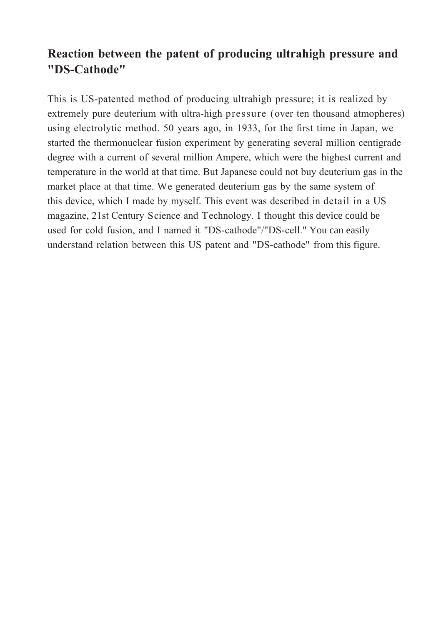## **Reaction between the patent of producing ultrahigh pressure and "DS-Cathode"**

This is US-patented method of producing ultrahigh pressure; it is realized by extremely pure deuterium with ultra-high pressure (over ten thousand atmopheres) using electrolytic method. 50 years ago, in 1933, for the first time in Japan, we started the thermonuclear fusion experiment by generating several million centigrade degree with a current of several million Ampere, which were the highest current and temperature in the world at that time. But Japanese could not buy deuterium gas in the market place at that time. We generated deuterium gas by the same system of this device, which I made by myself. This event was described in detail in a US magazine, 21st Century Science and Technology. I thought this device could be used for cold fusion, and I named it "DS-cathode"/"DS-cell." You can easily understand relation between this US patent and "DS-cathode" from this figure.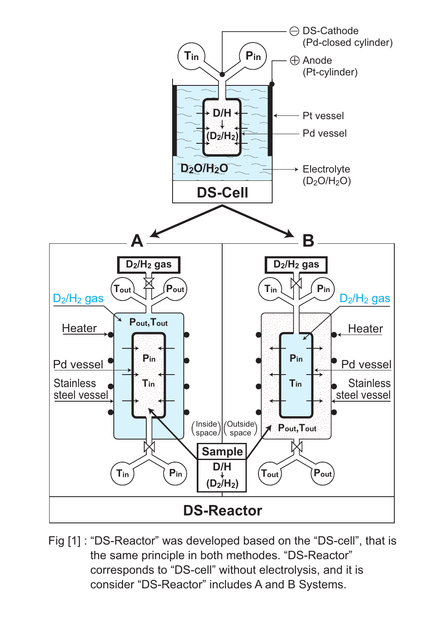

Fig [1]: "DS-Reactor" was developed based on the "DS-cell", that is the same principle in both methodes. "DS-Reactor" corresponds to "DS-cell" without electrolysis, and it is consider "DS-Reactor" includes A and B Systems.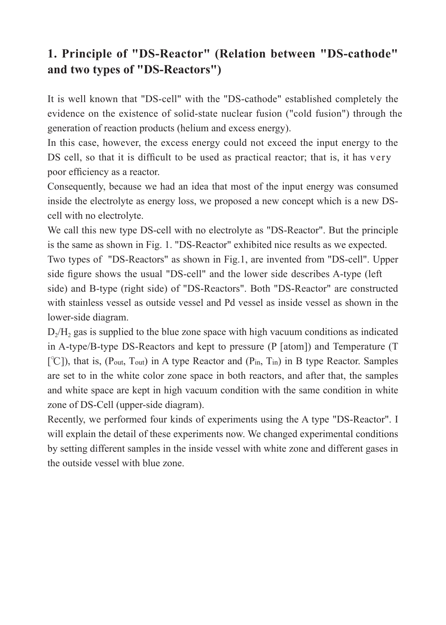# **1. Principle of "DS-Reactor" (Relation between "DS-cathode" and two types of "DS-Reactors")**

It is well known that "DS-cell" with the "DS-cathode" established completely the evidence on the existence of solid-state nuclear fusion ("cold fusion") through the generation of reaction products (helium and excess energy).

In this case, however, the excess energy could not exceed the input energy to the DS cell, so that it is difficult to be used as practical reactor; that is, it has very poor efficiency as a reactor.

Consequently, because we had an idea that most of the input energy was consumed inside the electrolyte as energy loss, we proposed a new concept which is a new DScell with no electrolyte.

We call this new type DS-cell with no electrolyte as "DS-Reactor". But the principle is the same as shown in Fig. 1. "DS-Reactor" exhibited nice results as we expected. Two types of "DS-Reactors" as shown in Fig.1, are invented from "DS-cell". Upper side figure shows the usual "DS-cell" and the lower side describes A-type (left side) and B-type (right side) of "DS-Reactors". Both "DS-Reactor" are constructed with stainless vessel as outside vessel and Pd vessel as inside vessel as shown in the lower-side diagram.

 $D<sub>2</sub>/H<sub>2</sub>$  gas is supplied to the blue zone space with high vacuum conditions as indicated in A-type/B-type DS-Reactors and kept to pressure (P [atom]) and Temperature (T  $[\degree C]$ ), that is, (P<sub>out</sub>, T<sub>out</sub>) in A type Reactor and (P<sub>in</sub>, T<sub>in</sub>) in B type Reactor. Samples are set to in the white color zone space in both reactors, and after that, the samples and white space are kept in high vacuum condition with the same condition in white zone of DS-Cell (upper-side diagram).

Recently, we performed four kinds of experiments using the A type "DS-Reactor". I will explain the detail of these experiments now. We changed experimental conditions by setting different samples in the inside vessel with white zone and different gases in the outside vessel with blue zone.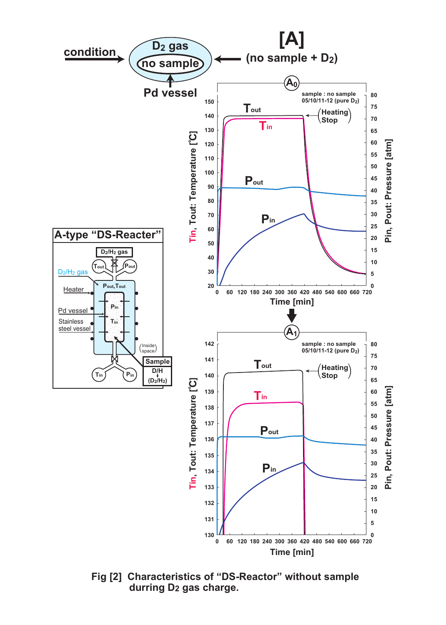

Fig [2] Characteristics of "DS-Reactor" without sample durring D<sub>2</sub> gas charge.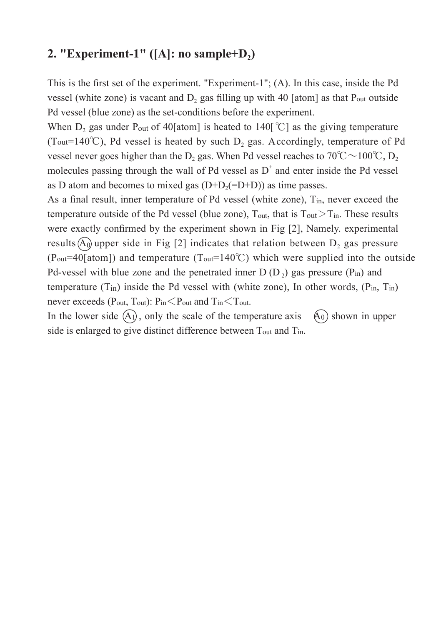### **2. "Experiment-1"** ( $[A]$ : no sample+ $D_2$ )

This is the first set of the experiment. "Experiment-1"; (A). In this case, inside the Pd vessel (white zone) is vacant and  $D_2$  gas filling up with 40 [atom] as that P<sub>out</sub> outside Pd vessel (blue zone) as the set-conditions before the experiment.

When D<sub>2</sub> gas under P<sub>out</sub> of 40[atom] is heated to 140[°C] as the giving temperature (Tout=140°C), Pd vessel is heated by such  $D_2$  gas. Accordingly, temperature of Pd vessel never goes higher than the D<sub>2</sub> gas. When Pd vessel reaches to 70°C ~ 100°C, D<sub>2</sub> molecules passing through the wall of Pd vessel as  $D^+$  and enter inside the Pd vessel as D atom and becomes to mixed gas  $(D+D<sub>2</sub>(=D+D))$  as time passes.

As a final result, inner temperature of Pd vessel (white zone), T<sub>in</sub>, never exceed the temperature outside of the Pd vessel (blue zone),  $T_{out}$ , that is  $T_{out} > T_{in}$ . These results were exactly confirmed by the experiment shown in Fig [2], Namely. experimental results  $(A<sub>0</sub>)$  upper side in Fig [2] indicates that relation between  $D<sub>2</sub>$  gas pressure (P<sub>out</sub>=40[atom]) and temperature (T<sub>out</sub>=140°C) which were supplied into the outside Pd-vessel with blue zone and the penetrated inner  $D(D_2)$  gas pressure (Pin) and temperature  $(T_{in})$  inside the Pd vessel with (white zone), In other words,  $(P_{in}, T_{in})$ never exceeds ( $P_{out}$ ,  $T_{out}$ ):  $P_{in} < P_{out}$  and  $T_{in} < T_{out}$ .

In the lower side  $(A)$ , only the scale of the temperature axis  $(A_0)$  shown in upper side is enlarged to give distinct difference between Tout and Tin.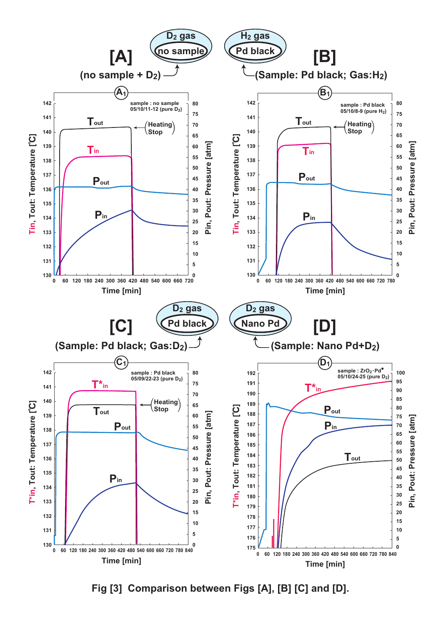

Fig [3] Comparison between Figs [A], [B] [C] and [D].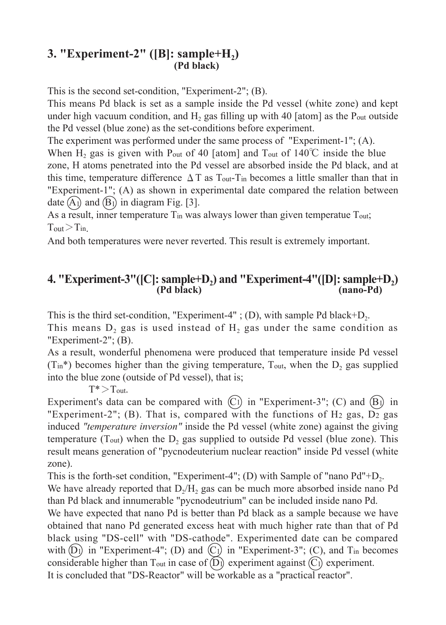### **3. "Experiment-2"** ([B]: sample+H<sub>2</sub>) **(Pd black)**

This is the second set-condition, "Experiment-2"; (B).

This means Pd black is set as a sample inside the Pd vessel (white zone) and kept under high vacuum condition, and  $H_2$  gas filling up with 40 [atom] as the P<sub>out</sub> outside the Pd vessel (blue zone) as the set-conditions before experiment.

The experiment was performed under the same process of "Experiment-1"; (A).

When  $H_2$  gas is given with P<sub>out</sub> of 40 [atom] and T<sub>out</sub> of 140°C inside the blue zone, H atoms penetrated into the Pd vessel are absorbed inside the Pd black, and at this time, temperature difference  $\Delta T$  as T<sub>out</sub>-T<sub>in</sub> becomes a little smaller than that in "Experiment-1"; (A) as shown in experimental date compared the relation between date  $(A<sub>1</sub>)$  and  $(B<sub>1</sub>)$  in diagram Fig. [3].

As a result, inner temperature  $T_{in}$  was always lower than given temperatue  $T_{out}$ ;  $T_{\text{out}} > T_{\text{in}}$ 

And both temperatures were never reverted. This result is extremely important.

### 4. "Experiment-3"([C]: sample+D<sub>2</sub>) and "Experiment-4"([D]: sample+D<sub>2</sub>)<br>(Pd black) (nano-Pd) **(Pd black) (nano-Pd)**

This is the third set-condition, "Experiment-4" ; (D), with sample Pd black+ $D_2$ .

This means  $D_2$  gas is used instead of  $H_2$  gas under the same condition as "Experiment-2"; (B).

As a result, wonderful phenomena were produced that temperature inside Pd vessel  $(T_{in}^*)$  becomes higher than the giving temperature,  $T_{out}$ , when the  $D_2$  gas supplied into the blue zone (outside of Pd vessel), that is;

 $T^*$   $>$  T<sub>out</sub>.

Experiment's data can be compared with  $(C)$  in "Experiment-3";  $(C)$  and  $(B)$  in "Experiment-2"; (B). That is, compared with the functions of H<sub>2</sub> gas,  $\overline{D2}$  gas induced *"temperature inversion"* inside the Pd vessel (white zone) against the giving temperature (T<sub>out</sub>) when the  $D_2$  gas supplied to outside Pd vessel (blue zone). This result means generation of "pycnodeuterium nuclear reaction" inside Pd vessel (white zone).

This is the forth-set condition, "Experiment-4"; (D) with Sample of "nano  $Pd''+D_2$ . We have already reported that  $D_2/H_2$  gas can be much more absorbed inside nano Pd than Pd black and innumerable "pycnodeutrium" can be included inside nano Pd.

We have expected that nano Pd is better than Pd black as a sample because we have obtained that nano Pd generated excess heat with much higher rate than that of Pd black using "DS-cell" with "DS-cathode". Experimented date can be compared with  $(D_1)$  in "Experiment-4"; (D) and  $(C_1)$  in "Experiment-3"; (C), and T<sub>in</sub> becomes considerable higher than T<sub>out</sub> in case of  $(D)$  experiment against  $(C)$  experiment. It is concluded that "DS-Reactor" will be workable as a "practical reactor".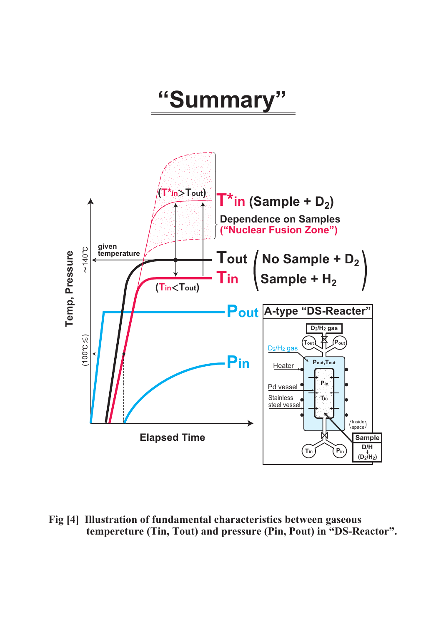# "Summary"



Fig [4] Illustration of fundamental characteristics between gaseous tempereture (Tin, Tout) and pressure (Pin, Pout) in "DS-Reactor".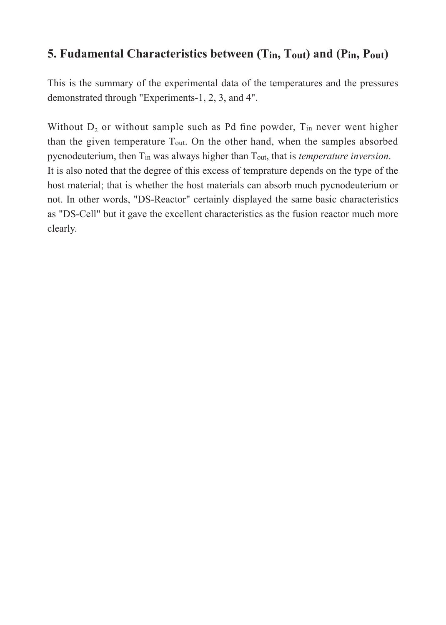## **5. Fudamental Characteristics between (Tin, Tout) and (Pin, Pout)**

This is the summary of the experimental data of the temperatures and the pressures demonstrated through "Experiments-1, 2, 3, and 4".

Without  $D_2$  or without sample such as Pd fine powder,  $T_{in}$  never went higher than the given temperature Tout. On the other hand, when the samples absorbed pycnodeuterium, then Tin was always higher than Tout, that is *temperature inversion*. It is also noted that the degree of this excess of temprature depends on the type of the host material; that is whether the host materials can absorb much pycnodeuterium or not. In other words, "DS-Reactor" certainly displayed the same basic characteristics as "DS-Cell" but it gave the excellent characteristics as the fusion reactor much more clearly.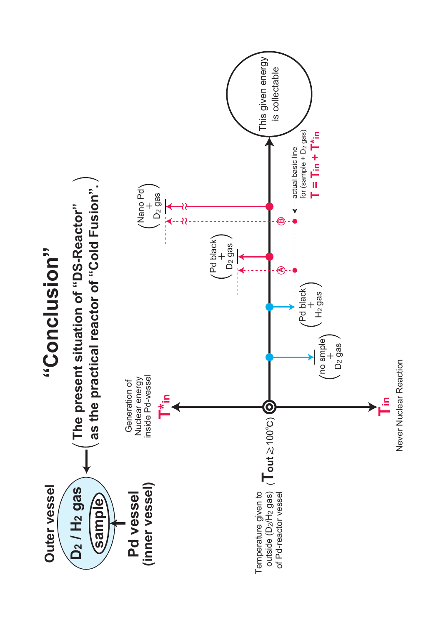